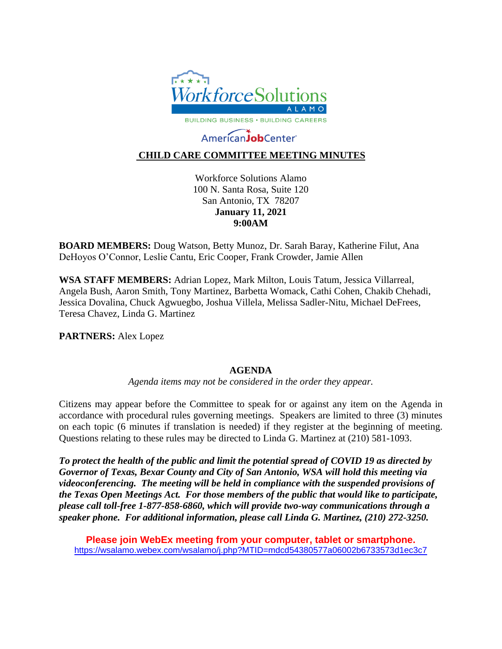

# AmericanJobCenter

# **CHILD CARE COMMITTEE MEETING MINUTES**

Workforce Solutions Alamo 100 N. Santa Rosa, Suite 120 San Antonio, TX 78207 **January 11, 2021 9:00AM**

**BOARD MEMBERS:** Doug Watson, Betty Munoz, Dr. Sarah Baray, Katherine Filut, Ana DeHoyos O'Connor, Leslie Cantu, Eric Cooper, Frank Crowder, Jamie Allen

**WSA STAFF MEMBERS:** Adrian Lopez, Mark Milton, Louis Tatum, Jessica Villarreal, Angela Bush, Aaron Smith, Tony Martinez, Barbetta Womack, Cathi Cohen, Chakib Chehadi, Jessica Dovalina, Chuck Agwuegbo, Joshua Villela, Melissa Sadler-Nitu, Michael DeFrees, Teresa Chavez, Linda G. Martinez

**PARTNERS:** Alex Lopez

#### **AGENDA**

*Agenda items may not be considered in the order they appear.*

Citizens may appear before the Committee to speak for or against any item on the Agenda in accordance with procedural rules governing meetings. Speakers are limited to three (3) minutes on each topic (6 minutes if translation is needed) if they register at the beginning of meeting. Questions relating to these rules may be directed to Linda G. Martinez at (210) 581-1093.

*To protect the health of the public and limit the potential spread of COVID 19 as directed by Governor of Texas, Bexar County and City of San Antonio, WSA will hold this meeting via videoconferencing. The meeting will be held in compliance with the suspended provisions of the Texas Open Meetings Act. For those members of the public that would like to participate, please call toll-free 1-877-858-6860, which will provide two-way communications through a speaker phone. For additional information, please call Linda G. Martinez, (210) 272-3250.* 

**Please join WebEx meeting from your computer, tablet or smartphone.**  <https://wsalamo.webex.com/wsalamo/j.php?MTID=mdcd54380577a06002b6733573d1ec3c7>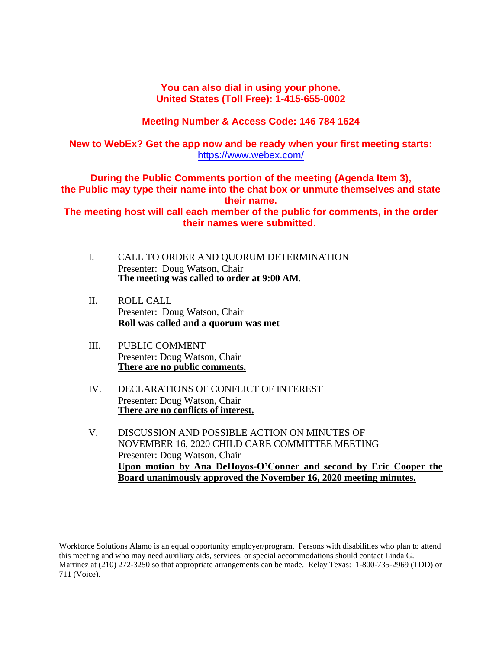#### **You can also dial in using your phone. United States (Toll Free): 1-415-655-0002**

# **Meeting Number & Access Code: 146 784 1624**

# **New to WebEx? Get the app now and be ready when your first meeting starts:**  <https://www.webex.com/>

**During the Public Comments portion of the meeting (Agenda Item 3), the Public may type their name into the chat box or unmute themselves and state their name.**

**The meeting host will call each member of the public for comments, in the order their names were submitted.**

- I. CALL TO ORDER AND QUORUM DETERMINATION Presenter: Doug Watson, Chair **The meeting was called to order at 9:00 AM**.
- II. ROLL CALL Presenter: Doug Watson, Chair **Roll was called and a quorum was met**
- III. PUBLIC COMMENT Presenter: Doug Watson, Chair **There are no public comments.**
- IV. DECLARATIONS OF CONFLICT OF INTEREST Presenter: Doug Watson, Chair **There are no conflicts of interest.**
- V. DISCUSSION AND POSSIBLE ACTION ON MINUTES OF NOVEMBER 16, 2020 CHILD CARE COMMITTEE MEETING Presenter: Doug Watson, Chair **Upon motion by Ana DeHoyos-O'Conner and second by Eric Cooper the Board unanimously approved the November 16, 2020 meeting minutes.**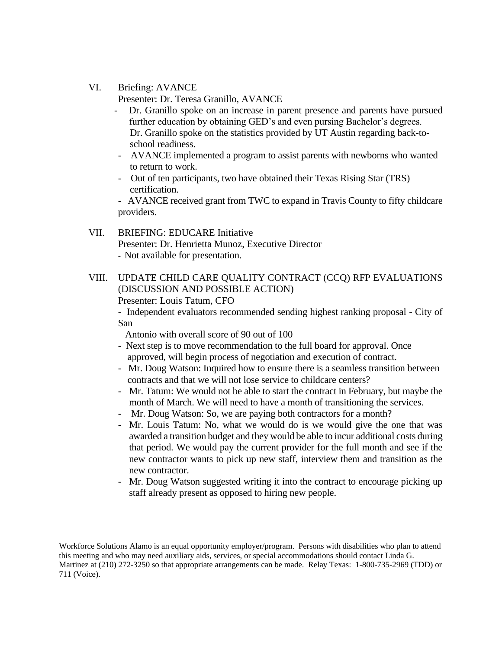#### VI. Briefing: AVANCE

Presenter: Dr. Teresa Granillo, AVANCE

- Dr. Granillo spoke on an increase in parent presence and parents have pursued further education by obtaining GED's and even pursing Bachelor's degrees. Dr. Granillo spoke on the statistics provided by UT Austin regarding back-to school readiness.
- AVANCE implemented a program to assist parents with newborns who wanted to return to work.
- Out of ten participants, two have obtained their Texas Rising Star (TRS) certification.

- AVANCE received grant from TWC to expand in Travis County to fifty childcare providers.

#### VII. BRIEFING: EDUCARE Initiative Presenter: Dr. Henrietta Munoz, Executive Director - Not available for presentation.

VIII. UPDATE CHILD CARE QUALITY CONTRACT (CCQ) RFP EVALUATIONS (DISCUSSION AND POSSIBLE ACTION) Presenter: Louis Tatum, CFO

- Independent evaluators recommended sending highest ranking proposal - City of San

Antonio with overall score of 90 out of 100

- Next step is to move recommendation to the full board for approval. Once approved, will begin process of negotiation and execution of contract.
- Mr. Doug Watson: Inquired how to ensure there is a seamless transition between contracts and that we will not lose service to childcare centers?
- Mr. Tatum: We would not be able to start the contract in February, but maybe the month of March. We will need to have a month of transitioning the services.
- Mr. Doug Watson: So, we are paying both contractors for a month?
- Mr. Louis Tatum: No, what we would do is we would give the one that was awarded a transition budget and they would be able to incur additional costs during that period. We would pay the current provider for the full month and see if the new contractor wants to pick up new staff, interview them and transition as the new contractor.
- Mr. Doug Watson suggested writing it into the contract to encourage picking up staff already present as opposed to hiring new people.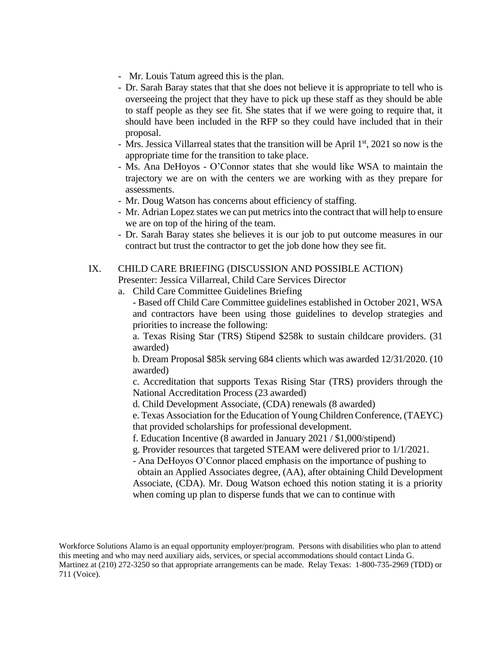- Mr. Louis Tatum agreed this is the plan.
- Dr. Sarah Baray states that that she does not believe it is appropriate to tell who is overseeing the project that they have to pick up these staff as they should be able to staff people as they see fit. She states that if we were going to require that, it should have been included in the RFP so they could have included that in their proposal.
- Mrs. Jessica Villarreal states that the transition will be April  $1<sup>st</sup>$ , 2021 so now is the appropriate time for the transition to take place.
- Ms. Ana DeHoyos O'Connor states that she would like WSA to maintain the trajectory we are on with the centers we are working with as they prepare for assessments.
- Mr. Doug Watson has concerns about efficiency of staffing.
- Mr. Adrian Lopez states we can put metrics into the contract that will help to ensure we are on top of the hiring of the team.
- Dr. Sarah Baray states she believes it is our job to put outcome measures in our contract but trust the contractor to get the job done how they see fit.

#### IX. CHILD CARE BRIEFING (DISCUSSION AND POSSIBLE ACTION)

- Presenter: Jessica Villarreal, Child Care Services Director
- a. Child Care Committee Guidelines Briefing
	- Based off Child Care Committee guidelines established in October 2021, WSA and contractors have been using those guidelines to develop strategies and priorities to increase the following:

a. Texas Rising Star (TRS) Stipend \$258k to sustain childcare providers. (31 awarded)

b. Dream Proposal \$85k serving 684 clients which was awarded 12/31/2020. (10 awarded)

c. Accreditation that supports Texas Rising Star (TRS) providers through the National Accreditation Process (23 awarded)

d. Child Development Associate, (CDA) renewals (8 awarded)

e. Texas Association for the Education of Young Children Conference, (TAEYC) that provided scholarships for professional development.

- f. Education Incentive (8 awarded in January 2021 / \$1,000/stipend)
- g. Provider resources that targeted STEAM were delivered prior to 1/1/2021.
- Ana DeHoyos O'Connor placed emphasis on the importance of pushing to obtain an Applied Associates degree, (AA), after obtaining Child Development Associate, (CDA). Mr. Doug Watson echoed this notion stating it is a priority when coming up plan to disperse funds that we can to continue with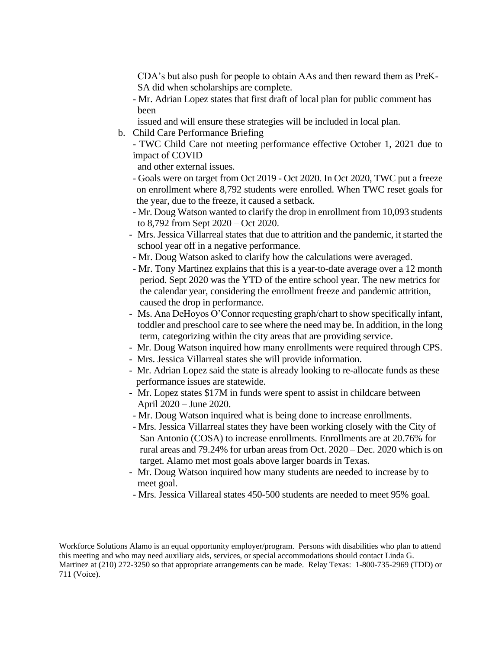CDA's but also push for people to obtain AAs and then reward them as PreK- SA did when scholarships are complete.

- Mr. Adrian Lopez states that first draft of local plan for public comment has been
- issued and will ensure these strategies will be included in local plan.
- b. Child Care Performance Briefing
	- TWC Child Care not meeting performance effective October 1, 2021 due to impact of COVID

and other external issues.

- Goals were on target from Oct 2019 Oct 2020. In Oct 2020, TWC put a freeze on enrollment where 8,792 students were enrolled. When TWC reset goals for the year, due to the freeze, it caused a setback.
- Mr. Doug Watson wanted to clarify the drop in enrollment from 10,093 students to 8,792 from Sept 2020 – Oct 2020.
- Mrs. Jessica Villarreal states that due to attrition and the pandemic, it started the school year off in a negative performance.
- Mr. Doug Watson asked to clarify how the calculations were averaged.
- Mr. Tony Martinez explains that this is a year-to-date average over a 12 month period. Sept 2020 was the YTD of the entire school year. The new metrics for the calendar year, considering the enrollment freeze and pandemic attrition, caused the drop in performance.
- Ms. Ana DeHoyos O'Connor requesting graph/chart to show specifically infant, toddler and preschool care to see where the need may be. In addition, in the long term, categorizing within the city areas that are providing service.
- Mr. Doug Watson inquired how many enrollments were required through CPS.
- Mrs. Jessica Villarreal states she will provide information.
- Mr. Adrian Lopez said the state is already looking to re-allocate funds as these performance issues are statewide.
- Mr. Lopez states \$17M in funds were spent to assist in childcare between April 2020 – June 2020.
- Mr. Doug Watson inquired what is being done to increase enrollments.
- Mrs. Jessica Villarreal states they have been working closely with the City of San Antonio (COSA) to increase enrollments. Enrollments are at 20.76% for rural areas and 79.24% for urban areas from Oct. 2020 – Dec. 2020 which is on target. Alamo met most goals above larger boards in Texas.
- Mr. Doug Watson inquired how many students are needed to increase by to meet goal.
- Mrs. Jessica Villareal states 450-500 students are needed to meet 95% goal.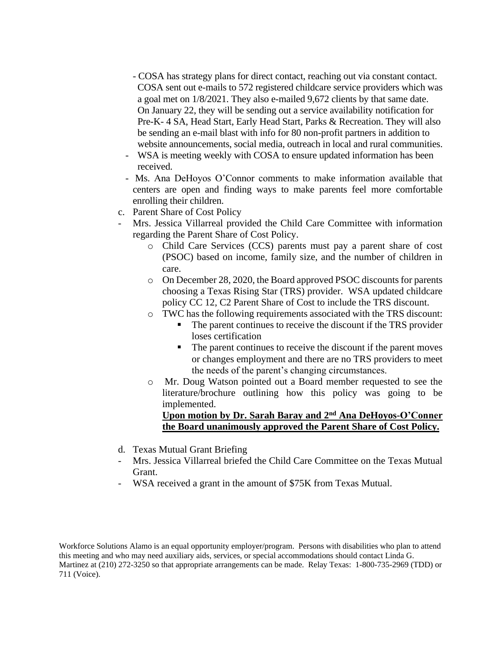- COSA has strategy plans for direct contact, reaching out via constant contact. COSA sent out e-mails to 572 registered childcare service providers which was a goal met on 1/8/2021. They also e-mailed 9,672 clients by that same date. On January 22, they will be sending out a service availability notification for Pre-K- 4 SA, Head Start, Early Head Start, Parks & Recreation. They will also be sending an e-mail blast with info for 80 non-profit partners in addition to website announcements, social media, outreach in local and rural communities.
- WSA is meeting weekly with COSA to ensure updated information has been received.
- Ms. Ana DeHoyos O'Connor comments to make information available that centers are open and finding ways to make parents feel more comfortable enrolling their children.
- c. Parent Share of Cost Policy
- Mrs. Jessica Villarreal provided the Child Care Committee with information regarding the Parent Share of Cost Policy.
	- o Child Care Services (CCS) parents must pay a parent share of cost (PSOC) based on income, family size, and the number of children in care.
	- o On December 28, 2020, the Board approved PSOC discounts for parents choosing a Texas Rising Star (TRS) provider. WSA updated childcare policy CC 12, C2 Parent Share of Cost to include the TRS discount.
	- o TWC has the following requirements associated with the TRS discount:
		- The parent continues to receive the discount if the TRS provider loses certification
		- The parent continues to receive the discount if the parent moves or changes employment and there are no TRS providers to meet the needs of the parent's changing circumstances.
	- o Mr. Doug Watson pointed out a Board member requested to see the literature/brochure outlining how this policy was going to be implemented.

### **Upon motion by Dr. Sarah Baray and 2nd Ana DeHoyos-O'Conner the Board unanimously approved the Parent Share of Cost Policy.**

- d. Texas Mutual Grant Briefing
- Mrs. Jessica Villarreal briefed the Child Care Committee on the Texas Mutual Grant.
- WSA received a grant in the amount of \$75K from Texas Mutual.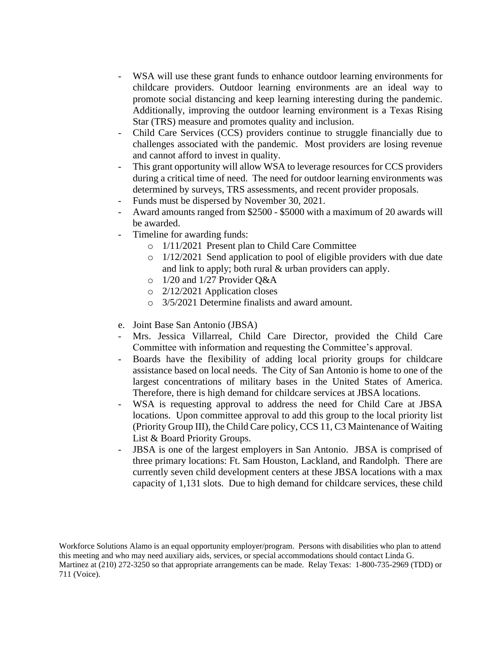- WSA will use these grant funds to enhance outdoor learning environments for childcare providers. Outdoor learning environments are an ideal way to promote social distancing and keep learning interesting during the pandemic. Additionally, improving the outdoor learning environment is a Texas Rising Star (TRS) measure and promotes quality and inclusion.
- Child Care Services (CCS) providers continue to struggle financially due to challenges associated with the pandemic. Most providers are losing revenue and cannot afford to invest in quality.
- This grant opportunity will allow WSA to leverage resources for CCS providers during a critical time of need. The need for outdoor learning environments was determined by surveys, TRS assessments, and recent provider proposals.
- Funds must be dispersed by November 30, 2021.
- Award amounts ranged from \$2500 \$5000 with a maximum of 20 awards will be awarded.
- Timeline for awarding funds:
	- o 1/11/2021 Present plan to Child Care Committee
	- o 1/12/2021 Send application to pool of eligible providers with due date and link to apply; both rural & urban providers can apply.
	- o 1/20 and 1/27 Provider Q&A
	- o 2/12/2021 Application closes
	- o 3/5/2021 Determine finalists and award amount.
- e. Joint Base San Antonio (JBSA)
- Mrs. Jessica Villarreal, Child Care Director, provided the Child Care Committee with information and requesting the Committee's approval.
- Boards have the flexibility of adding local priority groups for childcare assistance based on local needs. The City of San Antonio is home to one of the largest concentrations of military bases in the United States of America. Therefore, there is high demand for childcare services at JBSA locations.
- WSA is requesting approval to address the need for Child Care at JBSA locations. Upon committee approval to add this group to the local priority list (Priority Group III), the Child Care policy, CCS 11, C3 Maintenance of Waiting List & Board Priority Groups.
- JBSA is one of the largest employers in San Antonio. JBSA is comprised of three primary locations: Ft. Sam Houston, Lackland, and Randolph. There are currently seven child development centers at these JBSA locations with a max capacity of 1,131 slots. Due to high demand for childcare services, these child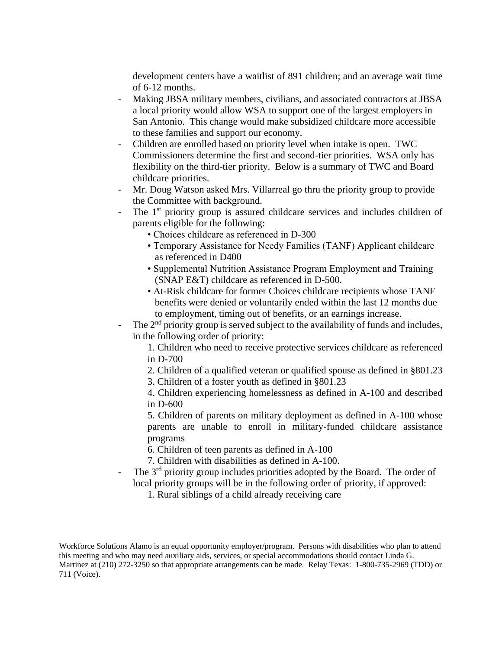development centers have a waitlist of 891 children; and an average wait time of 6-12 months.

- Making JBSA military members, civilians, and associated contractors at JBSA a local priority would allow WSA to support one of the largest employers in San Antonio. This change would make subsidized childcare more accessible to these families and support our economy.
- Children are enrolled based on priority level when intake is open. TWC Commissioners determine the first and second-tier priorities. WSA only has flexibility on the third-tier priority. Below is a summary of TWC and Board childcare priorities.
- Mr. Doug Watson asked Mrs. Villarreal go thru the priority group to provide the Committee with background.
- The 1<sup>st</sup> priority group is assured childcare services and includes children of parents eligible for the following:
	- Choices childcare as referenced in D-300
	- Temporary Assistance for Needy Families (TANF) Applicant childcare as referenced in D400
	- Supplemental Nutrition Assistance Program Employment and Training (SNAP E&T) childcare as referenced in D-500.
	- At-Risk childcare for former Choices childcare recipients whose TANF benefits were denied or voluntarily ended within the last 12 months due to employment, timing out of benefits, or an earnings increase.
- The  $2<sup>nd</sup>$  priority group is served subject to the availability of funds and includes, in the following order of priority:
	- 1. Children who need to receive protective services childcare as referenced in D-700
	- 2. Children of a qualified veteran or qualified spouse as defined in §801.23
	- 3. Children of a foster youth as defined in §801.23

4. Children experiencing homelessness as defined in A-100 and described in D-600

5. Children of parents on military deployment as defined in A-100 whose parents are unable to enroll in military-funded childcare assistance programs

- 6. Children of teen parents as defined in A-100
- 7. Children with disabilities as defined in A-100.
- The  $3<sup>rd</sup>$  priority group includes priorities adopted by the Board. The order of local priority groups will be in the following order of priority, if approved:
	- 1. Rural siblings of a child already receiving care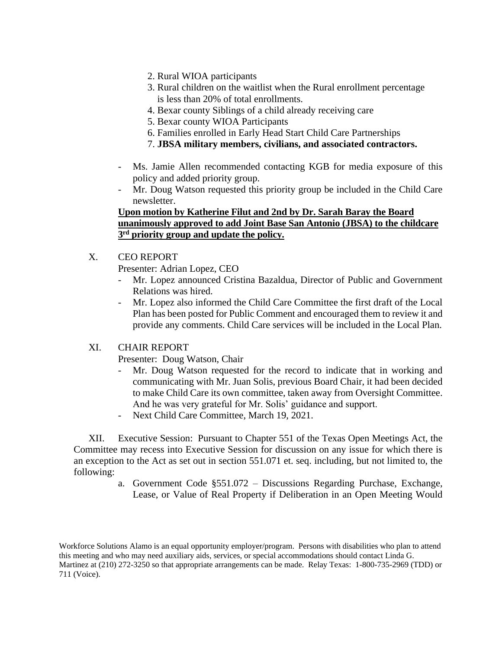- 2. Rural WIOA participants
- 3. Rural children on the waitlist when the Rural enrollment percentage is less than 20% of total enrollments.
- 4. Bexar county Siblings of a child already receiving care
- 5. Bexar county WIOA Participants
- 6. Families enrolled in Early Head Start Child Care Partnerships
- 7. **JBSA military members, civilians, and associated contractors.**
- Ms. Jamie Allen recommended contacting KGB for media exposure of this policy and added priority group.
- Mr. Doug Watson requested this priority group be included in the Child Care newsletter.

#### **Upon motion by Katherine Filut and 2nd by Dr. Sarah Baray the Board unanimously approved to add Joint Base San Antonio (JBSA) to the childcare 3 rd priority group and update the policy.**

- X. CEO REPORT
	- Presenter: Adrian Lopez, CEO
	- Mr. Lopez announced Cristina Bazaldua, Director of Public and Government Relations was hired.
	- Mr. Lopez also informed the Child Care Committee the first draft of the Local Plan has been posted for Public Comment and encouraged them to review it and provide any comments. Child Care services will be included in the Local Plan.

#### XI. CHAIR REPORT

Presenter: Doug Watson, Chair

- Mr. Doug Watson requested for the record to indicate that in working and communicating with Mr. Juan Solis, previous Board Chair, it had been decided to make Child Care its own committee, taken away from Oversight Committee. And he was very grateful for Mr. Solis' guidance and support.
- Next Child Care Committee, March 19, 2021.

XII. Executive Session: Pursuant to Chapter 551 of the Texas Open Meetings Act, the Committee may recess into Executive Session for discussion on any issue for which there is an exception to the Act as set out in section 551.071 et. seq. including, but not limited to, the following:

> a. Government Code §551.072 – Discussions Regarding Purchase, Exchange, Lease, or Value of Real Property if Deliberation in an Open Meeting Would